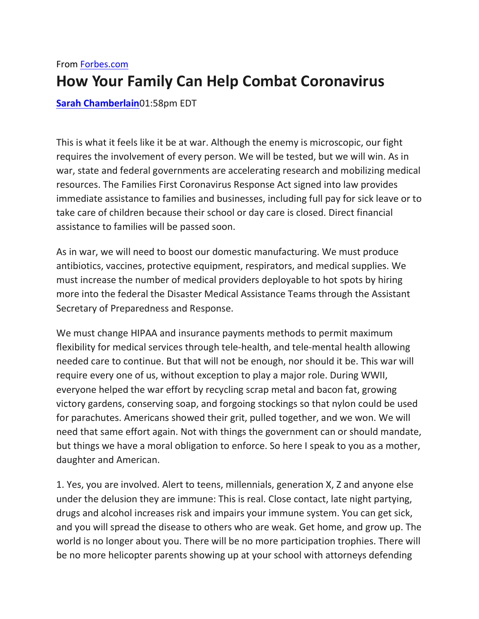## From Forbes.com How Your Family Can Help Combat Coronavirus

Sarah Chamberlain01:58pm EDT

This is what it feels like it be at war. Although the enemy is microscopic, our fight requires the involvement of every person. We will be tested, but we will win. As in war, state and federal governments are accelerating research and mobilizing medical resources. The Families First Coronavirus Response Act signed into law provides immediate assistance to families and businesses, including full pay for sick leave or to take care of children because their school or day care is closed. Direct financial assistance to families will be passed soon.

As in war, we will need to boost our domestic manufacturing. We must produce antibiotics, vaccines, protective equipment, respirators, and medical supplies. We must increase the number of medical providers deployable to hot spots by hiring more into the federal the Disaster Medical Assistance Teams through the Assistant Secretary of Preparedness and Response.

We must change HIPAA and insurance payments methods to permit maximum flexibility for medical services through tele-health, and tele-mental health allowing needed care to continue. But that will not be enough, nor should it be. This war will require every one of us, without exception to play a major role. During WWII, everyone helped the war effort by recycling scrap metal and bacon fat, growing victory gardens, conserving soap, and forgoing stockings so that nylon could be used for parachutes. Americans showed their grit, pulled together, and we won. We will need that same effort again. Not with things the government can or should mandate, but things we have a moral obligation to enforce. So here I speak to you as a mother, daughter and American.

1. Yes, you are involved. Alert to teens, millennials, generation X, Z and anyone else under the delusion they are immune: This is real. Close contact, late night partying, drugs and alcohol increases risk and impairs your immune system. You can get sick, and you will spread the disease to others who are weak. Get home, and grow up. The world is no longer about you. There will be no more participation trophies. There will be no more helicopter parents showing up at your school with attorneys defending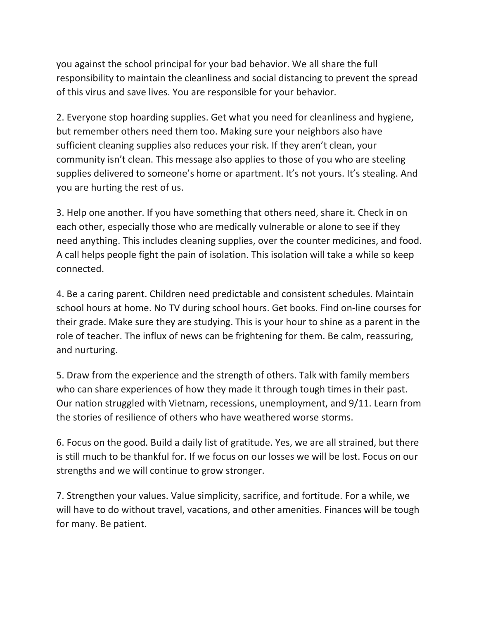you against the school principal for your bad behavior. We all share the full responsibility to maintain the cleanliness and social distancing to prevent the spread of this virus and save lives. You are responsible for your behavior.

2. Everyone stop hoarding supplies. Get what you need for cleanliness and hygiene, but remember others need them too. Making sure your neighbors also have sufficient cleaning supplies also reduces your risk. If they aren't clean, your community isn't clean. This message also applies to those of you who are steeling supplies delivered to someone's home or apartment. It's not yours. It's stealing. And you are hurting the rest of us.

3. Help one another. If you have something that others need, share it. Check in on each other, especially those who are medically vulnerable or alone to see if they need anything. This includes cleaning supplies, over the counter medicines, and food. A call helps people fight the pain of isolation. This isolation will take a while so keep connected.

4. Be a caring parent. Children need predictable and consistent schedules. Maintain school hours at home. No TV during school hours. Get books. Find on-line courses for their grade. Make sure they are studying. This is your hour to shine as a parent in the role of teacher. The influx of news can be frightening for them. Be calm, reassuring, and nurturing.

5. Draw from the experience and the strength of others. Talk with family members who can share experiences of how they made it through tough times in their past. Our nation struggled with Vietnam, recessions, unemployment, and 9/11. Learn from the stories of resilience of others who have weathered worse storms.

6. Focus on the good. Build a daily list of gratitude. Yes, we are all strained, but there is still much to be thankful for. If we focus on our losses we will be lost. Focus on our strengths and we will continue to grow stronger.

7. Strengthen your values. Value simplicity, sacrifice, and fortitude. For a while, we will have to do without travel, vacations, and other amenities. Finances will be tough for many. Be patient.